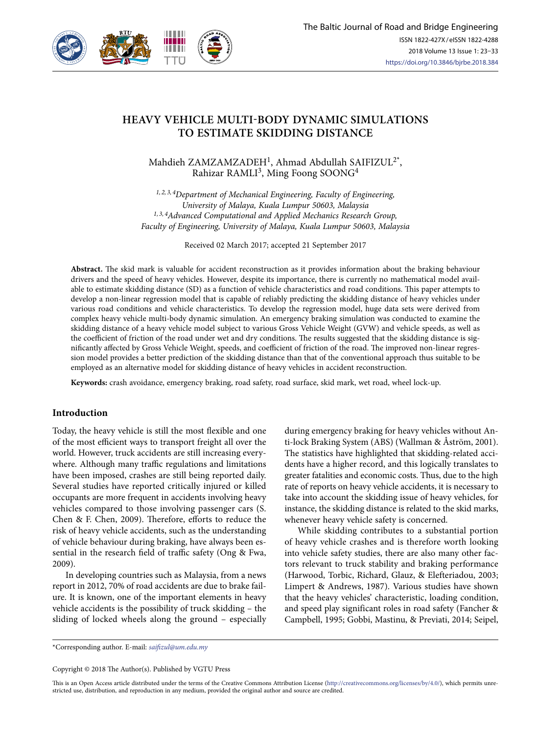

# **HEAVY VEHICLE MULTI-BODY DYNAMIC SIMULATIONS TO ESTIMATE SKIDDING DISTANCE**

Mahdieh ZAMZAMZADEH1, Ahmad Abdullah SAIFIZUL2\*, Rahizar RAMLI<sup>3</sup>, Ming Foong SOONG<sup>4</sup>

*1, 2, 3, 4Department of Mechanical Engineering, Faculty of Engineering, University of Malaya, Kuala Lumpur 50603, Malaysia 1, 3, 4Advanced Computational and Applied Mechanics Research Group, Faculty of Engineering, University of Malaya, Kuala Lumpur 50603, Malaysia*

Received 02 March 2017; accepted 21 September 2017

**Abstract.** The skid mark is valuable for accident reconstruction as it provides information about the braking behaviour drivers and the speed of heavy vehicles. However, despite its importance, there is currently no mathematical model available to estimate skidding distance (SD) as a function of vehicle characteristics and road conditions. This paper attempts to develop a non-linear regression model that is capable of reliably predicting the skidding distance of heavy vehicles under various road conditions and vehicle characteristics. To develop the regression model, huge data sets were derived from complex heavy vehicle multi-body dynamic simulation. An emergency braking simulation was conducted to examine the skidding distance of a heavy vehicle model subject to various Gross Vehicle Weight (GVW) and vehicle speeds, as well as the coefficient of friction of the road under wet and dry conditions. The results suggested that the skidding distance is significantly affected by Gross Vehicle Weight, speeds, and coefficient of friction of the road. The improved non-linear regression model provides a better prediction of the skidding distance than that of the conventional approach thus suitable to be employed as an alternative model for skidding distance of heavy vehicles in accident reconstruction.

**Keywords:** crash avoidance, emergency braking, road safety, road surface, skid mark, wet road, wheel lock-up.

#### **Introduction**

Today, the heavy vehicle is still the most flexible and one of the most efficient ways to transport freight all over the world. However, truck accidents are still increasing everywhere. Although many traffic regulations and limitations have been imposed, crashes are still being reported daily. Several studies have reported critically injured or killed occupants are more frequent in accidents involving heavy vehicles compared to those involving passenger cars (S. Chen & F. Chen, 2009). Therefore, efforts to reduce the risk of heavy vehicle accidents, such as the understanding of vehicle behaviour during braking, have always been essential in the research field of traffic safety (Ong & Fwa, 2009).

In developing countries such as Malaysia, from a news report in 2012, 70% of road accidents are due to brake failure. It is known, one of the important elements in heavy vehicle accidents is the possibility of truck skidding – the sliding of locked wheels along the ground – especially during emergency braking for heavy vehicles without Anti-lock Braking System (ABS) (Wallman & Åström, 2001). The statistics have highlighted that skidding-related accidents have a higher record, and this logically translates to greater fatalities and economic costs. Thus, due to the high rate of reports on heavy vehicle accidents, it is necessary to take into account the skidding issue of heavy vehicles, for instance, the skidding distance is related to the skid marks, whenever heavy vehicle safety is concerned.

While skidding contributes to a substantial portion of heavy vehicle crashes and is therefore worth looking into vehicle safety studies, there are also many other factors relevant to truck stability and braking performance (Harwood, Torbic, Richard, Glauz, & Elefteriadou, 2003; Limpert & Andrews, 1987). Various studies have shown that the heavy vehicles' characteristic, loading condition, and speed play significant roles in road safety (Fancher & Campbell, 1995; Gobbi, Mastinu, & Previati, 2014; Seipel,

\*Corresponding author. E-mail: *saifizul@um.edu.my*

Copyright © 2018 The Author(s). Published by VGTU Press

This is an Open Access article distributed under the terms of the Creative Commons Attribution License (http://creativecommons.org/licenses/by/4.0/), which permits unrestricted use, distribution, and reproduction in any medium, provided the original author and source are credited.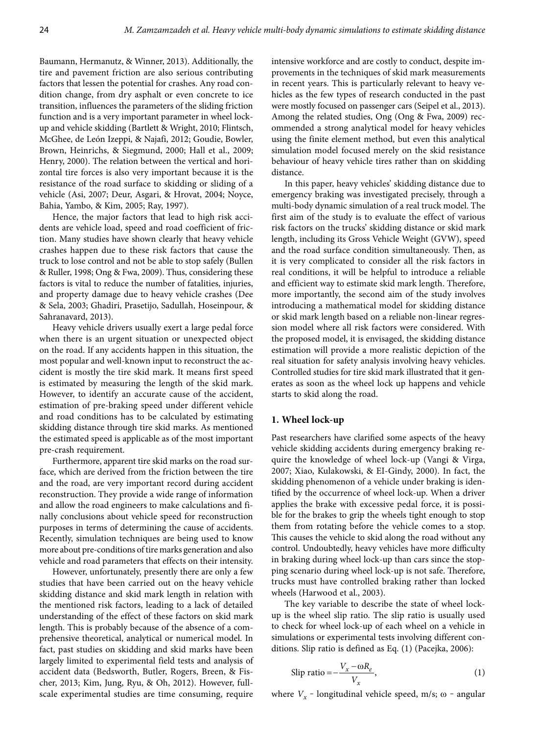Baumann, Hermanutz, & Winner, 2013). Additionally, the tire and pavement friction are also serious contributing factors that lessen the potential for crashes. Any road condition change, from dry asphalt or even concrete to ice transition, influences the parameters of the sliding friction function and is a very important parameter in wheel lockup and vehicle skidding (Bartlett & Wright, 2010; Flintsch, McGhee, de León Izeppi, & Najafi, 2012; Goudie, Bowler, Brown, Heinrichs, & Siegmund, 2000; Hall et al., 2009; Henry, 2000). The relation between the vertical and horizontal tire forces is also very important because it is the resistance of the road surface to skidding or sliding of a vehicle (Asi, 2007; Deur, Asgari, & Hrovat, 2004; Noyce, Bahia, Yambo, & Kim, 2005; Ray, 1997).

Hence, the major factors that lead to high risk accidents are vehicle load, speed and road coefficient of friction. Many studies have shown clearly that heavy vehicle crashes happen due to these risk factors that cause the truck to lose control and not be able to stop safely (Bullen & Ruller, 1998; Ong & Fwa, 2009). Thus, considering these factors is vital to reduce the number of fatalities, injuries, and property damage due to heavy vehicle crashes (Dee & Sela, 2003; Ghadiri, Prasetijo, Sadullah, Hoseinpour, & Sahranavard, 2013).

Heavy vehicle drivers usually exert a large pedal force when there is an urgent situation or unexpected object on the road. If any accidents happen in this situation, the most popular and well-known input to reconstruct the accident is mostly the tire skid mark. It means first speed is estimated by measuring the length of the skid mark. However, to identify an accurate cause of the accident, estimation of pre-braking speed under different vehicle and road conditions has to be calculated by estimating skidding distance through tire skid marks. As mentioned the estimated speed is applicable as of the most important pre-crash requirement.

Furthermore, apparent tire skid marks on the road surface, which are derived from the friction between the tire and the road, are very important record during accident reconstruction. They provide a wide range of information and allow the road engineers to make calculations and finally conclusions about vehicle speed for reconstruction purposes in terms of determining the cause of accidents. Recently, simulation techniques are being used to know more about pre-conditions of tire marks generation and also vehicle and road parameters that effects on their intensity.

However, unfortunately, presently there are only a few studies that have been carried out on the heavy vehicle skidding distance and skid mark length in relation with the mentioned risk factors, leading to a lack of detailed understanding of the effect of these factors on skid mark length. This is probably because of the absence of a comprehensive theoretical, analytical or numerical model. In fact, past studies on skidding and skid marks have been largely limited to experimental field tests and analysis of accident data (Bedsworth, Butler, Rogers, Breen, & Fischer, 2013; Kim, Jung, Ryu, & Oh, 2012). However, fullscale experimental studies are time consuming, require

intensive workforce and are costly to conduct, despite improvements in the techniques of skid mark measurements in recent years. This is particularly relevant to heavy vehicles as the few types of research conducted in the past were mostly focused on passenger cars (Seipel et al., 2013). Among the related studies, Ong (Ong & Fwa, 2009) recommended a strong analytical model for heavy vehicles using the finite element method, but even this analytical simulation model focused merely on the skid resistance behaviour of heavy vehicle tires rather than on skidding distance.

In this paper, heavy vehicles' skidding distance due to emergency braking was investigated precisely, through a multi-body dynamic simulation of a real truck model. The first aim of the study is to evaluate the effect of various risk factors on the trucks' skidding distance or skid mark length, including its Gross Vehicle Weight (GVW), speed and the road surface condition simultaneously. Then, as it is very complicated to consider all the risk factors in real conditions, it will be helpful to introduce a reliable and efficient way to estimate skid mark length. Therefore, more importantly, the second aim of the study involves introducing a mathematical model for skidding distance or skid mark length based on a reliable non-linear regression model where all risk factors were considered. With the proposed model, it is envisaged, the skidding distance estimation will provide a more realistic depiction of the real situation for safety analysis involving heavy vehicles. Controlled studies for tire skid mark illustrated that it generates as soon as the wheel lock up happens and vehicle starts to skid along the road.

# **1. Wheel lock-up**

Past researchers have clarified some aspects of the heavy vehicle skidding accidents during emergency braking require the knowledge of wheel lock-up (Vangi & Virga, 2007; Xiao, Kulakowski, & EI-Gindy, 2000). In fact, the skidding phenomenon of a vehicle under braking is identified by the occurrence of wheel lock-up. When a driver applies the brake with excessive pedal force, it is possible for the brakes to grip the wheels tight enough to stop them from rotating before the vehicle comes to a stop. This causes the vehicle to skid along the road without any control. Undoubtedly, heavy vehicles have more difficulty in braking during wheel lock-up than cars since the stopping scenario during wheel lock-up is not safe. Therefore, trucks must have controlled braking rather than locked wheels (Harwood et al., 2003).

The key variable to describe the state of wheel lockup is the wheel slip ratio. The slip ratio is usually used to check for wheel lock-up of each wheel on a vehicle in simulations or experimental tests involving different conditions. Slip ratio is defined as Eq. (1) (Pacejka, 2006):

$$
\text{Slip ratio} = -\frac{V_x - \omega R_e}{V_x},\tag{1}
$$

where  $V_x$  – longitudinal vehicle speed, m/s;  $\omega$  – angular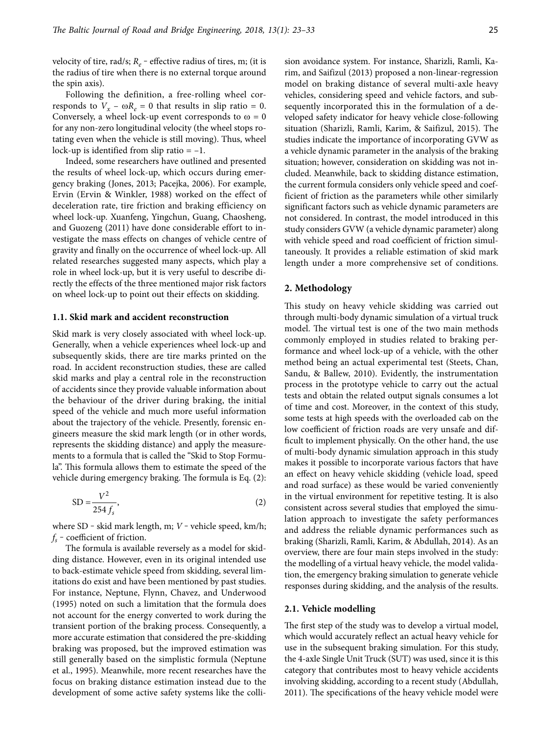velocity of tire, rad/s;  $R_e$  – effective radius of tires, m; (it is the radius of tire when there is no external torque around the spin axis).

Following the definition, a free-rolling wheel corresponds to  $V_x - \omega R_e = 0$  that results in slip ratio = 0. Conversely, a wheel lock-up event corresponds to  $\omega = 0$ for any non-zero longitudinal velocity (the wheel stops rotating even when the vehicle is still moving). Thus, wheel lock-up is identified from slip ratio  $= -1$ .

Indeed, some researchers have outlined and presented the results of wheel lock-up, which occurs during emergency braking (Jones, 2013; Pacejka, 2006). For example, Ervin (Ervin & Winkler, 1988) worked on the effect of deceleration rate, tire friction and braking efficiency on wheel lock-up. Xuanfeng, Yingchun, Guang, Chaosheng, and Guozeng (2011) have done considerable effort to investigate the mass effects on changes of vehicle centre of gravity and finally on the occurrence of wheel lock-up. All related researches suggested many aspects, which play a role in wheel lock-up, but it is very useful to describe directly the effects of the three mentioned major risk factors on wheel lock-up to point out their effects on skidding.

#### **1.1. Skid mark and accident reconstruction**

Skid mark is very closely associated with wheel lock-up. Generally, when a vehicle experiences wheel lock-up and subsequently skids, there are tire marks printed on the road. In accident reconstruction studies, these are called skid marks and play a central role in the reconstruction of accidents since they provide valuable information about the behaviour of the driver during braking, the initial speed of the vehicle and much more useful information about the trajectory of the vehicle. Presently, forensic engineers measure the skid mark length (or in other words, represents the skidding distance) and apply the measurements to a formula that is called the "Skid to Stop Formula". This formula allows them to estimate the speed of the vehicle during emergency braking. The formula is Eq. (2):

$$
SD = \frac{V^2}{254 f_s},\tag{2}
$$

where SD - skid mark length, m; *V* - vehicle speed, km/h;  $f_s$  – coefficient of friction.

The formula is available reversely as a model for skidding distance. However, even in its original intended use to back-estimate vehicle speed from skidding, several limitations do exist and have been mentioned by past studies. For instance, Neptune, Flynn, Chavez, and Underwood (1995) noted on such a limitation that the formula does not account for the energy converted to work during the transient portion of the braking process. Consequently, a more accurate estimation that considered the pre-skidding braking was proposed, but the improved estimation was still generally based on the simplistic formula (Neptune et al., 1995). Meanwhile, more recent researches have the focus on braking distance estimation instead due to the development of some active safety systems like the collision avoidance system. For instance, Sharizli, Ramli, Karim, and Saifizul (2013) proposed a non-linear-regression model on braking distance of several multi-axle heavy vehicles, considering speed and vehicle factors, and subsequently incorporated this in the formulation of a developed safety indicator for heavy vehicle close-following situation (Sharizli, Ramli, Karim, & Saifizul, 2015). The studies indicate the importance of incorporating GVW as a vehicle dynamic parameter in the analysis of the braking situation; however, consideration on skidding was not included. Meanwhile, back to skidding distance estimation, the current formula considers only vehicle speed and coefficient of friction as the parameters while other similarly significant factors such as vehicle dynamic parameters are not considered. In contrast, the model introduced in this study considers GVW (a vehicle dynamic parameter) along with vehicle speed and road coefficient of friction simultaneously. It provides a reliable estimation of skid mark length under a more comprehensive set of conditions.

#### **2. Methodology**

This study on heavy vehicle skidding was carried out through multi-body dynamic simulation of a virtual truck model. The virtual test is one of the two main methods commonly employed in studies related to braking performance and wheel lock-up of a vehicle, with the other method being an actual experimental test (Steets, Chan, Sandu, & Ballew, 2010). Evidently, the instrumentation process in the prototype vehicle to carry out the actual tests and obtain the related output signals consumes a lot of time and cost. Moreover, in the context of this study, some tests at high speeds with the overloaded cab on the low coefficient of friction roads are very unsafe and difficult to implement physically. On the other hand, the use of multi-body dynamic simulation approach in this study makes it possible to incorporate various factors that have an effect on heavy vehicle skidding (vehicle load, speed and road surface) as these would be varied conveniently in the virtual environment for repetitive testing. It is also consistent across several studies that employed the simulation approach to investigate the safety performances and address the reliable dynamic performances such as braking (Sharizli, Ramli, Karim, & Abdullah, 2014). As an overview, there are four main steps involved in the study: the modelling of a virtual heavy vehicle, the model validation, the emergency braking simulation to generate vehicle responses during skidding, and the analysis of the results.

## **2.1. Vehicle modelling**

The first step of the study was to develop a virtual model, which would accurately reflect an actual heavy vehicle for use in the subsequent braking simulation. For this study, the 4-axle Single Unit Truck (SUT) was used, since it is this category that contributes most to heavy vehicle accidents involving skidding, according to a recent study (Abdullah, 2011). The specifications of the heavy vehicle model were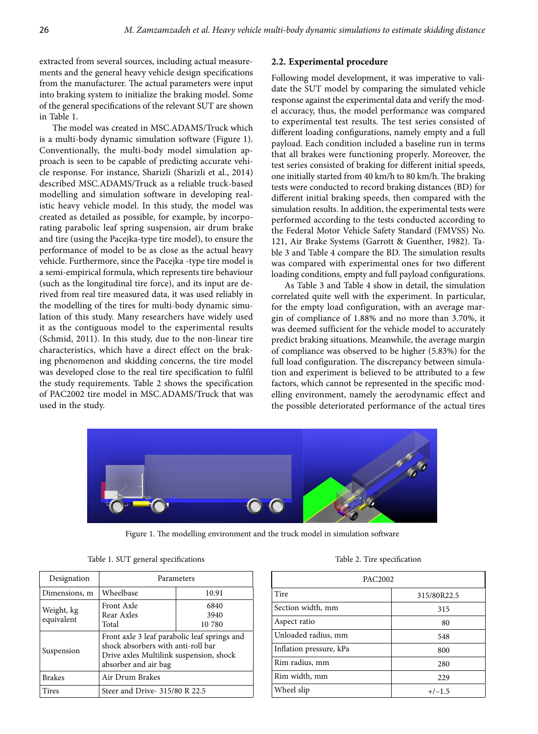extracted from several sources, including actual measurements and the general heavy vehicle design specifications from the manufacturer. The actual parameters were input into braking system to initialize the braking model. Some of the general specifications of the relevant SUT are shown in Table 1.

The model was created in MSC.ADAMS/Truck which is a multi-body dynamic simulation software (Figure 1). Conventionally, the multi-body model simulation approach is seen to be capable of predicting accurate vehicle response. For instance, Sharizli (Sharizli et al., 2014) described MSC.ADAMS/Truck as a reliable truck-based modelling and simulation software in developing realistic heavy vehicle model. In this study, the model was created as detailed as possible, for example, by incorporating parabolic leaf spring suspension, air drum brake and tire (using the Pacejka-type tire model), to ensure the performance of model to be as close as the actual heavy vehicle. Furthermore, since the Pacejka -type tire model is a semi-empirical formula, which represents tire behaviour (such as the longitudinal tire force), and its input are derived from real tire measured data, it was used reliably in the modelling of the tires for multi-body dynamic simulation of this study. Many researchers have widely used it as the contiguous model to the experimental results (Schmid, 2011). In this study, due to the non-linear tire characteristics, which have a direct effect on the braking phenomenon and skidding concerns, the tire model was developed close to the real tire specification to fulfil the study requirements. Table 2 shows the specification of PAC2002 tire model in MSC.ADAMS/Truck that was used in the study.

## **2.2. Experimental procedure**

Following model development, it was imperative to validate the SUT model by comparing the simulated vehicle response against the experimental data and verify the model accuracy, thus, the model performance was compared to experimental test results. The test series consisted of different loading configurations, namely empty and a full payload. Each condition included a baseline run in terms that all brakes were functioning properly. Moreover, the test series consisted of braking for different initial speeds, one initially started from 40 km/h to 80 km/h. The braking tests were conducted to record braking distances (BD) for different initial braking speeds, then compared with the simulation results. In addition, the experimental tests were performed according to the tests conducted according to the Federal Motor Vehicle Safety Standard (FMVSS) No. 121, Air Brake Systems (Garrott & Guenther, 1982). Table 3 and Table 4 compare the BD. The simulation results was compared with experimental ones for two different loading conditions, empty and full payload configurations.

As Table 3 and Table 4 show in detail, the simulation correlated quite well with the experiment. In particular, for the empty load configuration, with an average margin of compliance of 1.88% and no more than 3.70%, it was deemed sufficient for the vehicle model to accurately predict braking situations. Meanwhile, the average margin of compliance was observed to be higher (5.83%) for the full load configuration. The discrepancy between simulation and experiment is believed to be attributed to a few factors, which cannot be represented in the specific modelling environment, namely the aerodynamic effect and the possible deteriorated performance of the actual tires



Figure 1. The modelling environment and the truck model in simulation software

|  |  |  | Table 1. SUT general specifications |
|--|--|--|-------------------------------------|
|--|--|--|-------------------------------------|

| Designation              | Parameters                                                                                                                                            |                        |  |  |
|--------------------------|-------------------------------------------------------------------------------------------------------------------------------------------------------|------------------------|--|--|
| Dimensions, m            | Wheelbase                                                                                                                                             | 10.91                  |  |  |
| Weight, kg<br>equivalent | Front Axle<br>Rear Axles<br>Total                                                                                                                     | 6840<br>3940<br>10 780 |  |  |
| Suspension               | Front axle 3 leaf parabolic leaf springs and<br>shock absorbers with anti-roll bar<br>Drive axles Multilink suspension, shock<br>absorber and air bag |                        |  |  |
| <b>Brakes</b>            | Air Drum Brakes                                                                                                                                       |                        |  |  |
| <b>Tires</b>             | Steer and Drive- 315/80 R 22.5                                                                                                                        |                        |  |  |

Table 2. Tire specification

| PAC <sub>2002</sub>     |             |  |  |  |
|-------------------------|-------------|--|--|--|
| Tire                    | 315/80R22.5 |  |  |  |
| Section width, mm       | 315         |  |  |  |
| Aspect ratio            | 80          |  |  |  |
| Unloaded radius, mm     | 548         |  |  |  |
| Inflation pressure, kPa | 800         |  |  |  |
| Rim radius, mm          | 280         |  |  |  |
| Rim width, mm           | 229         |  |  |  |
| Wheel slip              | $+/-1.5$    |  |  |  |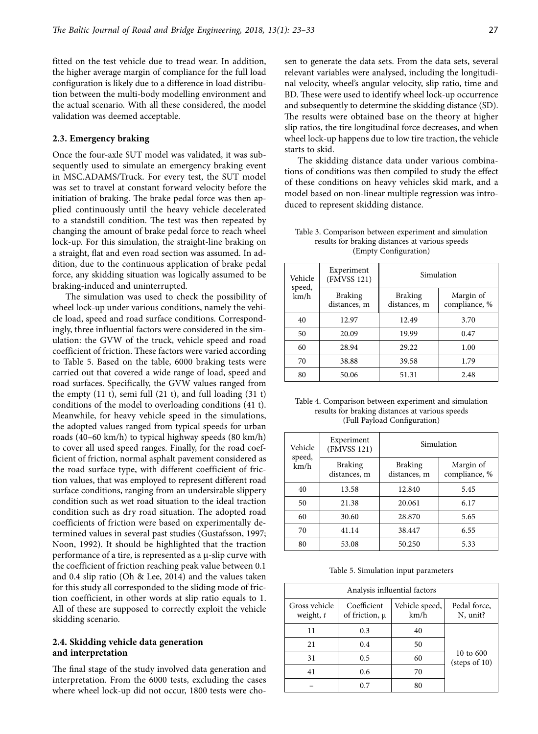fitted on the test vehicle due to tread wear. In addition, the higher average margin of compliance for the full load configuration is likely due to a difference in load distribution between the multi-body modelling environment and the actual scenario. With all these considered, the model validation was deemed acceptable.

#### **2.3. Emergency braking**

Once the four-axle SUT model was validated, it was subsequently used to simulate an emergency braking event in MSC.ADAMS/Truck. For every test, the SUT model was set to travel at constant forward velocity before the initiation of braking. The brake pedal force was then applied continuously until the heavy vehicle decelerated to a standstill condition. The test was then repeated by changing the amount of brake pedal force to reach wheel lock-up. For this simulation, the straight-line braking on a straight, flat and even road section was assumed. In addition, due to the continuous application of brake pedal force, any skidding situation was logically assumed to be braking-induced and uninterrupted.

The simulation was used to check the possibility of wheel lock-up under various conditions, namely the vehicle load, speed and road surface conditions. Correspondingly, three influential factors were considered in the simulation: the GVW of the truck, vehicle speed and road coefficient of friction. These factors were varied according to Table 5. Based on the table, 6000 braking tests were carried out that covered a wide range of load, speed and road surfaces. Specifically, the GVW values ranged from the empty (11 t), semi full (21 t), and full loading (31 t) conditions of the model to overloading conditions (41 t). Meanwhile, for heavy vehicle speed in the simulations, the adopted values ranged from typical speeds for urban roads (40–60 km/h) to typical highway speeds (80 km/h) to cover all used speed ranges. Finally, for the road coefficient of friction, normal asphalt pavement considered as the road surface type, with different coefficient of friction values, that was employed to represent different road surface conditions, ranging from an undersirable slippery condition such as wet road situation to the ideal traction condition such as dry road situation. The adopted road coefficients of friction were based on experimentally determined values in several past studies (Gustafsson, 1997; Noon, 1992). It should be highlighted that the traction performance of a tire, is represented as a μ-slip curve with the coefficient of friction reaching peak value between 0.1 and 0.4 slip ratio (Oh & Lee, 2014) and the values taken for this study all corresponded to the sliding mode of friction coefficient, in other words at slip ratio equals to 1. All of these are supposed to correctly exploit the vehicle skidding scenario.

## **2.4. Skidding vehicle data generation and interpretation**

The final stage of the study involved data generation and interpretation. From the 6000 tests, excluding the cases where wheel lock-up did not occur, 1800 tests were chosen to generate the data sets. From the data sets, several relevant variables were analysed, including the longitudinal velocity, wheel's angular velocity, slip ratio, time and BD. These were used to identify wheel lock-up occurrence and subsequently to determine the skidding distance (SD). The results were obtained base on the theory at higher slip ratios, the tire longitudinal force decreases, and when wheel lock-up happens due to low tire traction, the vehicle starts to skid.

The skidding distance data under various combinations of conditions was then compiled to study the effect of these conditions on heavy vehicles skid mark, and a model based on non-linear multiple regression was introduced to represent skidding distance.

| Vehicle<br>speed, | Experiment<br>(FMVSS 121)      |                                | Simulation                 |
|-------------------|--------------------------------|--------------------------------|----------------------------|
| km/h              | <b>Braking</b><br>distances, m | <b>Braking</b><br>distances, m | Margin of<br>compliance, % |
| 40                | 12.97                          | 12.49                          | 3.70                       |
| 50                | 20.09                          | 19.99                          | 0.47                       |
| 60                | 28.94                          | 29.22                          | 1.00                       |
| 70                | 38.88                          | 39.58                          | 1.79                       |
| 80                | 50.06                          | 51.31                          | 2.48                       |

Table 3. Comparison between experiment and simulation results for braking distances at various speeds (Empty Configuration)

Table 4. Comparison between experiment and simulation results for braking distances at various speeds (Full Payload Configuration)

| Vehicle<br>speed, | Experiment<br>(FMVSS 121)      | Simulation                     |                            |  |  |
|-------------------|--------------------------------|--------------------------------|----------------------------|--|--|
| km/h              | <b>Braking</b><br>distances, m | <b>Braking</b><br>distances, m | Margin of<br>compliance, % |  |  |
| 40                | 13.58                          | 12.840                         | 5.45                       |  |  |
| 50                | 21.38                          | 20.061                         | 6.17                       |  |  |
| 60                | 30.60                          | 28.870                         | 5.65                       |  |  |
| 70                | 41.14                          | 38.447                         | 6.55                       |  |  |
| 80                | 53.08                          | 50.250                         | 5.33                       |  |  |

Table 5. Simulation input parameters

| Analysis influential factors |                          |    |                                 |  |  |  |
|------------------------------|--------------------------|----|---------------------------------|--|--|--|
| Gross vehicle<br>weight, t   | Pedal force,<br>N, unit? |    |                                 |  |  |  |
| 11                           | 0.3                      | 40 |                                 |  |  |  |
| 21                           | 0.4                      | 50 |                                 |  |  |  |
| 31                           | 0.5                      | 60 | 10 to 600<br>$^{(steps of 10)}$ |  |  |  |
| 41                           | 0.6                      | 70 |                                 |  |  |  |
|                              | 0.7                      | 80 |                                 |  |  |  |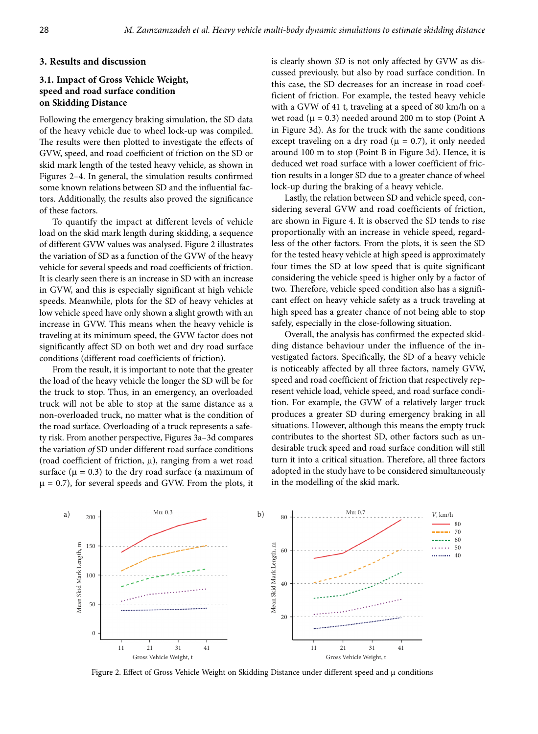## **3. Results and discussion**

# **3.1. Impact of Gross Vehicle Weight, speed and road surface condition on Skidding Distance**

Following the emergency braking simulation, the SD data of the heavy vehicle due to wheel lock-up was compiled. The results were then plotted to investigate the effects of GVW, speed, and road coefficient of friction on the SD or skid mark length of the tested heavy vehicle, as shown in Figures 2–4. In general, the simulation results confirmed some known relations between SD and the influential factors. Additionally, the results also proved the significance of these factors.

To quantify the impact at different levels of vehicle load on the skid mark length during skidding, a sequence of different GVW values was analysed. Figure 2 illustrates the variation of SD as a function of the GVW of the heavy vehicle for several speeds and road coefficients of friction. It is clearly seen there is an increase in SD with an increase in GVW, and this is especially significant at high vehicle speeds. Meanwhile, plots for the SD of heavy vehicles at low vehicle speed have only shown a slight growth with an increase in GVW. This means when the heavy vehicle is traveling at its minimum speed, the GVW factor does not significantly affect SD on both wet and dry road surface conditions (different road coefficients of friction).

From the result, it is important to note that the greater the load of the heavy vehicle the longer the SD will be for the truck to stop. Thus, in an emergency, an overloaded truck will not be able to stop at the same distance as a non-overloaded truck, no matter what is the condition of the road surface. Overloading of a truck represents a safety risk. From another perspective, Figures 3a–3d compares the variation *of* SD under different road surface conditions (road coefficient of friction,  $\mu$ ), ranging from a wet road surface ( $\mu$  = 0.3) to the dry road surface (a maximum of  $\mu$  = 0.7), for several speeds and GVW. From the plots, it

is clearly shown *SD* is not only affected by GVW as discussed previously, but also by road surface condition. In this case, the SD decreases for an increase in road coefficient of friction. For example, the tested heavy vehicle with a GVW of 41 t, traveling at a speed of 80 km/h on a wet road ( $\mu$  = 0.3) needed around 200 m to stop (Point A in Figure 3d). As for the truck with the same conditions except traveling on a dry road ( $\mu$  = 0.7), it only needed around 100 m to stop (Point B in Figure 3d). Hence, it is deduced wet road surface with a lower coefficient of friction results in a longer SD due to a greater chance of wheel lock-up during the braking of a heavy vehicle.

Lastly, the relation between SD and vehicle speed, considering several GVW and road coefficients of friction, are shown in Figure 4. It is observed the SD tends to rise proportionally with an increase in vehicle speed, regardless of the other factors. From the plots, it is seen the SD for the tested heavy vehicle at high speed is approximately four times the SD at low speed that is quite significant considering the vehicle speed is higher only by a factor of two. Therefore, vehicle speed condition also has a significant effect on heavy vehicle safety as a truck traveling at high speed has a greater chance of not being able to stop safely, especially in the close-following situation.

Overall, the analysis has confirmed the expected skidding distance behaviour under the influence of the investigated factors. Specifically, the SD of a heavy vehicle is noticeably affected by all three factors, namely GVW, speed and road coefficient of friction that respectively represent vehicle load, vehicle speed, and road surface condition. For example, the GVW of a relatively larger truck produces a greater SD during emergency braking in all situations. However, although this means the empty truck contributes to the shortest SD, other factors such as undesirable truck speed and road surface condition will still turn it into a critical situation. Therefore, all three factors adopted in the study have to be considered simultaneously in the modelling of the skid mark.



Figure 2. Effect of Gross Vehicle Weight on Skidding Distance under different speed and µ conditions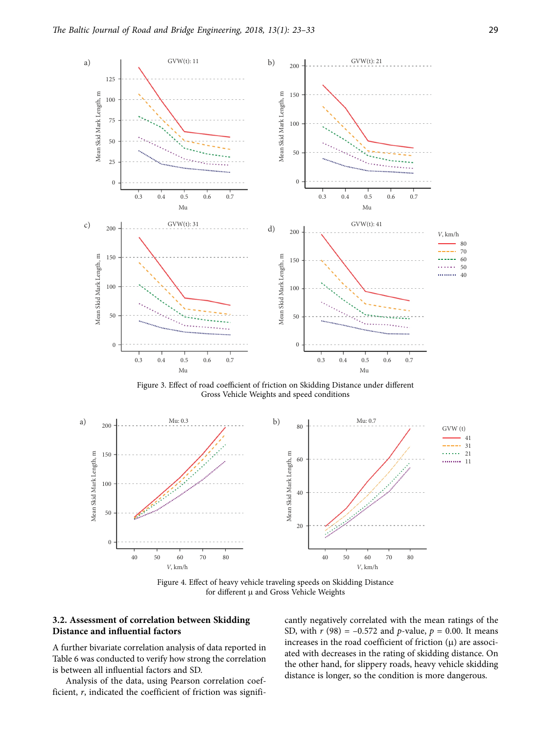

Figure 3. Effect of road coefficient of friction on Skidding Distance under different Gross Vehicle Weights and speed conditions



Figure 4. Effect of heavy vehicle traveling speeds on Skidding Distance for different µ and Gross Vehicle Weights

# **3.2. Assessment of correlation between Skidding Distance and influential factors**

A further bivariate correlation analysis of data reported in Table 6 was conducted to verify how strong the correlation is between all influential factors and SD.

Analysis of the data, using Pearson correlation coefficient, *r*, indicated the coefficient of friction was significantly negatively correlated with the mean ratings of the SD, with  $r$  (98) = -0.572 and  $p$ -value,  $p = 0.00$ . It means increases in the road coefficient of friction (μ) are associated with decreases in the rating of skidding distance. On the other hand, for slippery roads, heavy vehicle skidding distance is longer, so the condition is more dangerous.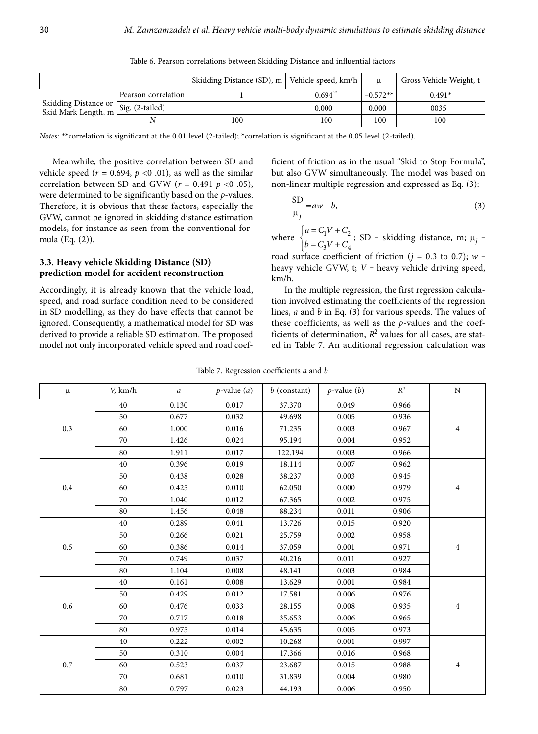|                                                                |                     | Skidding Distance (SD), m   Vehicle speed, km/h |           |            | Gross Vehicle Weight, t |
|----------------------------------------------------------------|---------------------|-------------------------------------------------|-----------|------------|-------------------------|
|                                                                | Pearson correlation |                                                 | $0.694**$ | $-0.572**$ | $0.491*$                |
| Skidding Distance or<br>Skid Mark Length, m<br>Sig. (2-tailed) |                     |                                                 | 0.000     | 0.000      | 0035                    |
|                                                                |                     | l 00                                            | 100       | 100        | 100                     |

Table 6. Pearson correlations between Skidding Distance and influential factors

*Notes*: \*\*correlation is significant at the 0.01 level (2-tailed); \*correlation is significant at the 0.05 level (2-tailed).

Meanwhile, the positive correlation between SD and vehicle speed ( $r = 0.694$ ,  $p < 0.01$ ), as well as the similar correlation between SD and GVW (*r* = 0.491 *p* <0 .05), were determined to be significantly based on the *p*-values. Therefore, it is obvious that these factors, especially the GVW, cannot be ignored in skidding distance estimation models, for instance as seen from the conventional formula (Eq. (2)).

# **3.3. Heavy vehicle Skidding Distance (SD) prediction model for accident reconstruction**

Accordingly, it is already known that the vehicle load, speed, and road surface condition need to be considered in SD modelling, as they do have effects that cannot be ignored. Consequently, a mathematical model for SD was derived to provide a reliable SD estimation. The proposed model not only incorporated vehicle speed and road coefficient of friction as in the usual "Skid to Stop Formula", but also GVW simultaneously. The model was based on non-linear multiple regression and expressed as Eq. (3):

$$
\frac{\text{SD}}{\mu_j} = aw + b,\tag{3}
$$

where  $\begin{cases} u - C_1 v + C_2 \\ l - C_1 v + C_2 \end{cases}$  $3^{\nu}$  +  $G_4$  $a = C_1 V + C$ <br> $b = C_3 V + C$  $\begin{cases} a = C_1 V + C_2 \\ b = C_3 V + C_4 \end{cases}$ ; SD - skidding distance, m;  $\mu_j$  -

road surface coefficient of friction ( $j = 0.3$  to 0.7);  $w$ heavy vehicle GVW, t; *V* - heavy vehicle driving speed, km/h.

In the multiple regression, the first regression calculation involved estimating the coefficients of the regression lines, *a* and *b* in Eq. (3) for various speeds. The values of these coefficients, as well as the *p*-values and the coefficients of determination,  $R^2$  values for all cases, are stated in Table 7. An additional regression calculation was

| $\mu$     | $V$ , km/h | $\boldsymbol{a}$ | $p$ -value $(a)$ | $b$ (constant) | $p$ -value $(b)$ | $\mathbb{R}^2$ | ${\rm N}$ |
|-----------|------------|------------------|------------------|----------------|------------------|----------------|-----------|
|           | 40         | 0.130            | 0.017            | 37.370         | 0.049            | 0.966          |           |
|           | 50         | 0.677            | 0.032            | 49.698         | 0.005            | 0.936          |           |
| $0.3\,$   | 60         | 1.000            | 0.016            | 71.235         | 0.003            | 0.967          | 4         |
|           | 70         | 1.426            | 0.024            | 95.194         | 0.004            | 0.952          |           |
|           | 80         | 1.911            | 0.017            | 122.194        | 0.003            | 0.966          |           |
|           | 40         | 0.396            | 0.019            | 18.114         | 0.007            | 0.962          |           |
|           | 50         | 0.438            | 0.028            | 38.237         | 0.003            | 0.945          |           |
| $\rm 0.4$ | 60         | 0.425            | 0.010            | 62.050         | 0.000            | 0.979          | 4         |
|           | 70         | 1.040            | 0.012            | 67.365         | 0.002            | 0.975          |           |
|           | 80         | 1.456            | 0.048            | 88.234         | 0.011            | 0.906          |           |
|           | 40         | 0.289            | 0.041            | 13.726         | 0.015            | 0.920          | 4         |
|           | 50         | 0.266            | 0.021            | 25.759         | 0.002            | 0.958          |           |
| $0.5\,$   | 60         | 0.386            | 0.014            | 37.059         | 0.001            | 0.971          |           |
|           | 70         | 0.749            | 0.037            | 40.216         | 0.011            | 0.927          |           |
|           | 80         | 1.104            | 0.008            | 48.141         | 0.003            | 0.984          |           |
|           | 40         | 0.161            | 0.008            | 13.629         | 0.001            | 0.984          |           |
|           | 50         | 0.429            | 0.012            | 17.581         | 0.006            | 0.976          |           |
| $0.6\,$   | 60         | 0.476            | 0.033            | 28.155         | 0.008            | 0.935          | 4         |
|           | 70         | 0.717            | 0.018            | 35.653         | 0.006            | 0.965          |           |
|           | 80         | 0.975            | 0.014            | 45.635         | 0.005            | 0.973          |           |
| $0.7\,$   | 40         | 0.222            | 0.002            | 10.268         | 0.001            | 0.997          |           |
|           | 50         | 0.310            | 0.004            | 17.366         | 0.016            | 0.968          |           |
|           | 60         | 0.523            | 0.037            | 23.687         | 0.015            | 0.988          | 4         |
|           | 70         | 0.681            | 0.010            | 31.839         | 0.004            | 0.980          |           |
|           | 80         | 0.797            | 0.023            | 44.193         | 0.006            | 0.950          |           |

Table 7. Regression coefficients *a* and *b*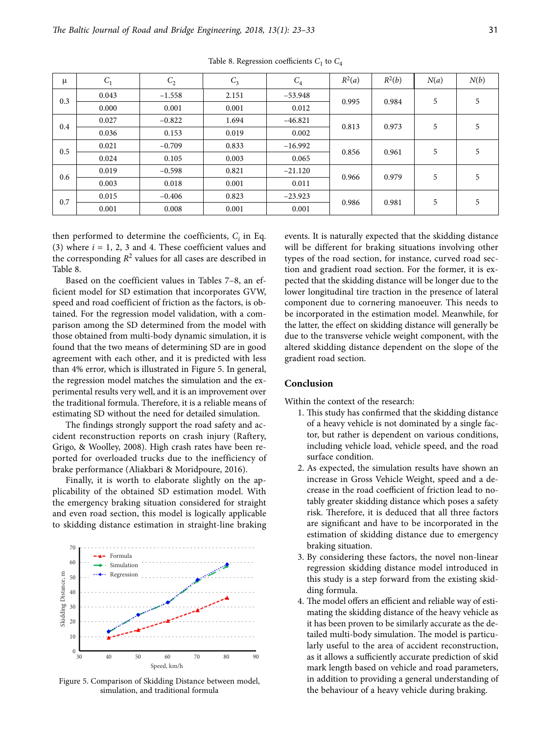| $\mu$ | $C_1$ | $C_2$    | $C_3$ | $C_4$     | $R^2(a)$ | $R^2(b)$ | N(a) | N(b) |
|-------|-------|----------|-------|-----------|----------|----------|------|------|
| 0.3   | 0.043 | $-1.558$ | 2.151 | $-53.948$ | 0.995    | 0.984    | 5    | 5    |
|       | 0.000 | 0.001    | 0.001 | 0.012     |          |          |      |      |
| 0.4   | 0.027 | $-0.822$ | 1.694 | $-46.821$ | 0.813    | 0.973    | 5    | 5    |
|       | 0.036 | 0.153    | 0.019 | 0.002     |          |          |      |      |
| 0.5   | 0.021 | $-0.709$ | 0.833 | $-16.992$ | 0.856    | 0.961    | 5    | 5    |
|       | 0.024 | 0.105    | 0.003 | 0.065     |          |          |      |      |
| 0.6   | 0.019 | $-0.598$ | 0.821 | $-21.120$ | 0.966    | 0.979    | 5    | 5    |
|       | 0.003 | 0.018    | 0.001 | 0.011     |          |          |      |      |
| 0.7   | 0.015 | $-0.406$ | 0.823 | $-23.923$ | 0.986    | 0.981    | 5    | 5    |
|       | 0.001 | 0.008    | 0.001 | 0.001     |          |          |      |      |

Table 8. Regression coefficients  $C_1$  to  $C_4$ 

then performed to determine the coefficients,  $C_i$  in Eq. (3) where *i* = 1, 2, 3 and 4. These coefficient values and the corresponding  $R^2$  values for all cases are described in Table 8.

Based on the coefficient values in Tables 7–8, an efficient model for SD estimation that incorporates GVW, speed and road coefficient of friction as the factors, is obtained. For the regression model validation, with a comparison among the SD determined from the model with those obtained from multi-body dynamic simulation, it is found that the two means of determining SD are in good agreement with each other, and it is predicted with less than 4% error, which is illustrated in Figure 5. In general, the regression model matches the simulation and the experimental results very well, and it is an improvement over the traditional formula. Therefore, it is a reliable means of estimating SD without the need for detailed simulation.

The findings strongly support the road safety and accident reconstruction reports on crash injury (Raftery, Grigo, & Woolley, 2008). High crash rates have been reported for overloaded trucks due to the inefficiency of brake performance (Aliakbari & Moridpoure, 2016).

Finally, it is worth to elaborate slightly on the applicability of the obtained SD estimation model. With the emergency braking situation considered for straight and even road section, this model is logically applicable to skidding distance estimation in straight-line braking



Figure 5. Comparison of Skidding Distance between model, simulation, and traditional formula

events. It is naturally expected that the skidding distance will be different for braking situations involving other types of the road section, for instance, curved road section and gradient road section. For the former, it is expected that the skidding distance will be longer due to the lower longitudinal tire traction in the presence of lateral component due to cornering manoeuver. This needs to be incorporated in the estimation model. Meanwhile, for the latter, the effect on skidding distance will generally be due to the transverse vehicle weight component, with the altered skidding distance dependent on the slope of the gradient road section.

## **Conclusion**

Within the context of the research:

- 1. This study has confirmed that the skidding distance of a heavy vehicle is not dominated by a single factor, but rather is dependent on various conditions, including vehicle load, vehicle speed, and the road surface condition.
- 2. As expected, the simulation results have shown an increase in Gross Vehicle Weight, speed and a decrease in the road coefficient of friction lead to notably greater skidding distance which poses a safety risk. Therefore, it is deduced that all three factors are significant and have to be incorporated in the estimation of skidding distance due to emergency braking situation.
- 3. By considering these factors, the novel non-linear regression skidding distance model introduced in this study is a step forward from the existing skidding formula.
- 4. The model offers an efficient and reliable way of estimating the skidding distance of the heavy vehicle as it has been proven to be similarly accurate as the detailed multi-body simulation. The model is particularly useful to the area of accident reconstruction, as it allows a sufficiently accurate prediction of skid mark length based on vehicle and road parameters, in addition to providing a general understanding of the behaviour of a heavy vehicle during braking.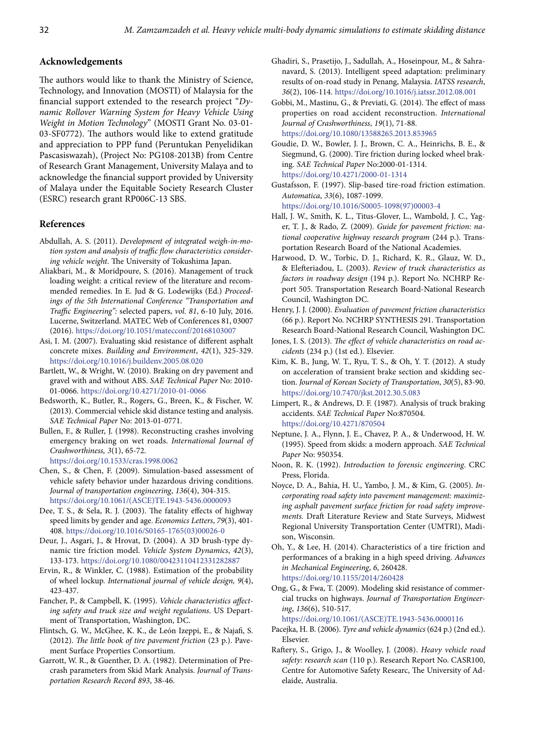#### **Acknowledgements**

The authors would like to thank the Ministry of Science, Technology, and Innovation (MOSTI) of Malaysia for the financial support extended to the research project "*Dynamic Rollover Warning System for Heavy Vehicle Using Weight in Motion Technology*" (MOSTI Grant No. 03-01- 03-SF0772). The authors would like to extend gratitude and appreciation to PPP fund (Peruntukan Penyelidikan Pascasiswazah), (Project No: PG108-2013B) from Centre of Research Grant Management, University Malaya and to acknowledge the financial support provided by University of Malaya under the Equitable Society Research Cluster (ESRC) research grant RP006C-13 SBS.

## **References**

- Abdullah, A. S. (2011). *Development of integrated weigh-in-motion system and analysis of traffic flow characteristics considering vehicle weight*. The University of Tokushima Japan.
- Aliakbari, M., & Moridpoure, S. (2016). Management of truck loading weight: a critical review of the literature and recommended remedies. In E. Jud & G. Lodewijks (Ed.) *Proceedings of the 5th International Conference "Transportation and Traffic Engineering":* selected papers, *vol. 81*, 6-10 July, 2016. Lucerne, Switzerland. MATEC Web of Conferences 81, 03007 (2016). https://doi.org/10.1051/matecconf/20168103007
- Asi, I. M. (2007). Evaluating skid resistance of different asphalt concrete mixes. *Building and Environment*, *42*(1), 325-329. https://doi.org/10.1016/j.buildenv.2005.08.020
- Bartlett, W., & Wright, W. (2010). Braking on dry pavement and gravel with and without ABS. *SAE Technical Paper* No: 2010- 01-0066. https://doi.org/10.4271/2010-01-0066
- Bedsworth, K., Butler, R., Rogers, G., Breen, K., & Fischer, W. (2013). Commercial vehicle skid distance testing and analysis. *SAE Technical Paper* No: 2013-01-0771.
- Bullen, F., & Ruller, J. (1998). Reconstructing crashes involving emergency braking on wet roads. *International Journal of Crashworthiness, 3*(1), 65-72. https://doi.org/10.1533/cras.1998.0062
- Chen, S., & Chen, F. (2009). Simulation-based assessment of
- vehicle safety behavior under hazardous driving conditions. *Journal of transportation engineering*, *136*(4), 304-315. https://doi.org/10.1061/(ASCE)TE.1943-5436.0000093
- Dee, T. S., & Sela, R. J. (2003). The fatality effects of highway speed limits by gender and age. *Economics Letters*, *79*(3), 401- 408. https://doi.org/10.1016/S0165-1765(03)00026-0
- Deur, J., Asgari, J., & Hrovat, D. (2004). A 3D brush-type dynamic tire friction model. *Vehicle System Dynamics*, *42*(3), 133-173. https://doi.org/10.1080/00423110412331282887
- Ervin, R., & Winkler, C. (1988). Estimation of the probability of wheel lockup. *International journal of vehicle design, 9*(4), 423-437.
- Fancher, P., & Campbell, K. (1995). *Vehicle characteristics affecting safety and truck size and weight regulations*. US Department of Transportation, Washington, DC.
- Flintsch, G. W., McGhee, K. K., de León Izeppi, E., & Najafi, S. (2012). *The little book of tire pavement friction* (23 p.). Pavement Surface Properties Consortium.
- Garrott, W. R., & Guenther, D. A. (1982). Determination of Precrash parameters from Skid Mark Analysis. *Journal of Transportation Research Record 893*, 38-46.
- Ghadiri, S., Prasetijo, J., Sadullah, A., Hoseinpour, M., & Sahranavard, S. (2013). Intelligent speed adaptation: preliminary results of on-road study in Penang, Malaysia. *IATSS research*, *36*(2), 106-114. https://doi.org/10.1016/j.iatssr.2012.08.001
- Gobbi, M., Mastinu, G., & Previati, G. (2014). The effect of mass properties on road accident reconstruction. *International Journal of Crashworthiness*, *19*(1), 71-88. https://doi.org/10.1080/13588265.2013.853965
- Goudie, D. W., Bowler, J. J., Brown, C. A., Heinrichs, B. E., & Siegmund, G. (2000). Tire friction during locked wheel braking. *SAE Technical Paper* No:2000-01-1314. https://doi.org/10.4271/2000-01-1314
- Gustafsson, F. (1997). Slip-based tire-road friction estimation. *Automatica*, *33*(6), 1087-1099. https://doi.org/10.1016/S0005-1098(97)00003-4
- Hall, J. W., Smith, K. L., Titus-Glover, L., Wambold, J. C., Yager, T. J., & Rado, Z. (2009). *Guide for pavement friction: national cooperative highway research program* (244 p.). Transportation Research Board of the National Academies.
- Harwood, D. W., Torbic, D. J., Richard, K. R., Glauz, W. D., & Elefteriadou, L. (2003). *Review of truck characteristics as factors in roadway design* (194 p.). Report No. NCHRP Report 505. Transportation Research Board-National Research Council, Washington DC.
- Henry, J. J. (2000). *Evaluation of pavement friction characteristics*  (66 p.). Report No. NCHRP SYNTHESIS 291. Transportation Research Board-National Research Council, Washington DC.
- Jones, I. S. (2013). *The effect of vehicle characteristics on road accidents* (234 p.) (1st ed.). Elsevier.
- Kim, K. B., Jung, W. T., Ryu, T. S., & Oh, Y. T. (2012). A study on acceleration of transient brake section and skidding section. *Journal of Korean Society of Transportation*, *30*(5), 83-90. https://doi.org/10.7470/jkst.2012.30.5.083
- Limpert, R., & Andrews, D. F. (1987). Analysis of truck braking accidents. *SAE Technical Paper* No:870504. https://doi.org/10.4271/870504
- Neptune, J. A., Flynn, J. E., Chavez, P. A., & Underwood, H. W. (1995). Speed from skids: a modern approach. *SAE Technical Paper* No: 950354.
- Noon, R. K. (1992). *Introduction to forensic engineering*. CRC Press, Florida.
- Noyce, D. A., Bahia, H. U., Yambo, J. M., & Kim, G. (2005). *Incorporating road safety into pavement management: maximizing asphalt pavement surface friction for road safety improvements.* Draft Literature Review and State Surveys, Midwest Regional University Transportation Center (UMTRI), Madison, Wisconsin.
- Oh, Y., & Lee, H. (2014). Characteristics of a tire friction and performances of a braking in a high speed driving. *Advances in Mechanical Engineering*, *6*, 260428. https://doi.org/10.1155/2014/260428

Ong, G., & Fwa, T. (2009). Modeling skid resistance of commercial trucks on highways. *Journal of Transportation Engineering*, *136*(6), 510-517. https://doi.org/10.1061/(ASCE)TE.1943-5436.0000116

Pacejka, H. B. (2006). *Tyre and vehicle dynamics* (624 p.) (2nd ed.).

Elsevier.

Raftery, S., Grigo, J., & Woolley, J. (2008). *Heavy vehicle road safety: research scan* (110 p.). Research Report No. CASR100, Centre for Automotive Safety Researc, The University of Adelaide, Australia.